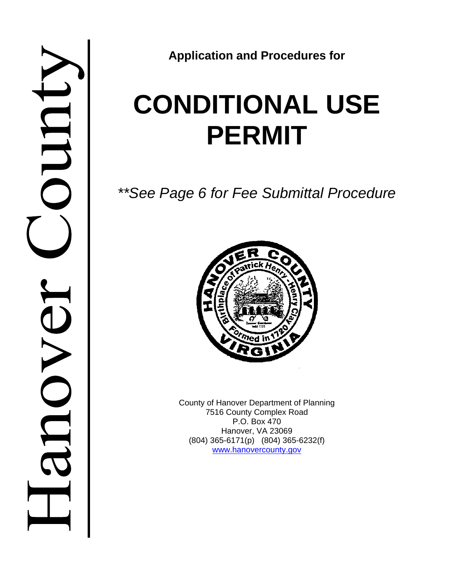

**Application and Procedures for**

# **CONDITIONAL USE PERMIT**

*\*\*See Page 6 for Fee Submittal Procedure*



County of Hanover Department of Planning 7516 County Complex Road P.O. Box 470 Hanover, VA 23069 (804) 365-6171(p) (804) 365-6232(f) www.hanovercounty.gov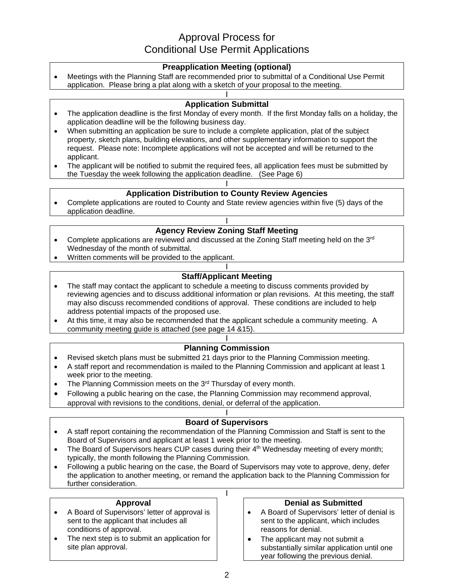# Approval Process for Conditional Use Permit Applications

## **Preapplication Meeting (optional)**

 Meetings with the Planning Staff are recommended prior to submittal of a Conditional Use Permit application. Please bring a plat along with a sketch of your proposal to the meeting.

#### I **Application Submittal**

- The application deadline is the first Monday of every month. If the first Monday falls on a holiday, the application deadline will be the following business day.
- When submitting an application be sure to include a complete application, plat of the subject property, sketch plans, building elevations, and other supplementary information to support the request. Please note: Incomplete applications will not be accepted and will be returned to the applicant.
- The applicant will be notified to submit the required fees, all application fees must be submitted by the Tuesday the week following the application deadline. (See Page 6)

#### I **Application Distribution to County Review Agencies**

 Complete applications are routed to County and State review agencies within five (5) days of the application deadline.

## I **Agency Review Zoning Staff Meeting**

- Complete applications are reviewed and discussed at the Zoning Staff meeting held on the  $3<sup>rd</sup>$ Wednesday of the month of submittal.
- Written comments will be provided to the applicant.

#### I **Staff/Applicant Meeting**

- The staff may contact the applicant to schedule a meeting to discuss comments provided by reviewing agencies and to discuss additional information or plan revisions. At this meeting, the staff may also discuss recommended conditions of approval. These conditions are included to help address potential impacts of the proposed use.
- At this time, it may also be recommended that the applicant schedule a community meeting. A community meeting guide is attached (see page 14 &15).

#### I **Planning Commission**

- Revised sketch plans must be submitted 21 days prior to the Planning Commission meeting.
- A staff report and recommendation is mailed to the Planning Commission and applicant at least 1 week prior to the meeting.
- The Planning Commission meets on the 3<sup>rd</sup> Thursday of every month.
- Following a public hearing on the case, the Planning Commission may recommend approval, approval with revisions to the conditions, denial, or deferral of the application.

#### I **Board of Supervisors**

- A staff report containing the recommendation of the Planning Commission and Staff is sent to the Board of Supervisors and applicant at least 1 week prior to the meeting.
- The Board of Supervisors hears CUP cases during their  $4<sup>th</sup>$  Wednesday meeting of every month; typically, the month following the Planning Commission.
- Following a public hearing on the case, the Board of Supervisors may vote to approve, deny, defer the application to another meeting, or remand the application back to the Planning Commission for further consideration.

I

#### **Approval**

- A Board of Supervisors' letter of approval is sent to the applicant that includes all conditions of approval.
- The next step is to submit an application for site plan approval.

## **Denial as Submitted**

- A Board of Supervisors' letter of denial is sent to the applicant, which includes reasons for denial.
- The applicant may not submit a substantially similar application until one year following the previous denial.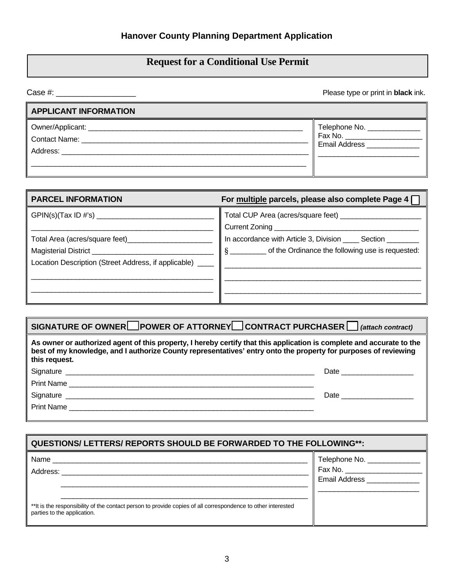# **Request for a Conditional Use Permit**

| Please type or print in <b>black</b> ink.                                                                                                                                                                                                              |                                                                 |  |
|--------------------------------------------------------------------------------------------------------------------------------------------------------------------------------------------------------------------------------------------------------|-----------------------------------------------------------------|--|
| <b>APPLICANT INFORMATION</b>                                                                                                                                                                                                                           |                                                                 |  |
| <b>Contact Name:</b><br>Address: Andreas Address and Address and Address and Address and Address and Address and Address and Address and Address and Address and Address and Address and Address and Address and Address and Address and Address and A | Telephone No. ______________<br>Fax No.<br><b>Email Address</b> |  |

| <b>PARCEL INFORMATION</b>                                  | For multiple parcels, please also complete Page 4              |
|------------------------------------------------------------|----------------------------------------------------------------|
| GPIN(s)(Tax ID #'s)                                        |                                                                |
|                                                            | In accordance with Article 3, Division ______ Section ________ |
| Magisterial District _____________                         | § ___________ of the Ordinance the following use is requested: |
| Location Description (Street Address, if applicable) _____ |                                                                |
|                                                            |                                                                |
|                                                            |                                                                |
|                                                            |                                                                |

| SIGNATURE OF OWNER POWER OF ATTORNEY CONTRACT PURCHASER $\Box$ (attach contract)                                                                                                                                                                          |                                                                                                                 |  |  |
|-----------------------------------------------------------------------------------------------------------------------------------------------------------------------------------------------------------------------------------------------------------|-----------------------------------------------------------------------------------------------------------------|--|--|
| As owner or authorized agent of this property, I hereby certify that this application is complete and accurate to the<br>best of my knowledge, and I authorize County representatives' entry onto the property for purposes of reviewing<br>this request. |                                                                                                                 |  |  |
|                                                                                                                                                                                                                                                           |                                                                                                                 |  |  |
| Print Name                                                                                                                                                                                                                                                |                                                                                                                 |  |  |
| Signature experience and the state of the state of the state of the state of the state of the state of the state of the state of the state of the state of the state of the state of the state of the state of the state of th                            | Date and the state of the state of the state of the state of the state of the state of the state of the state o |  |  |
| Print Name                                                                                                                                                                                                                                                |                                                                                                                 |  |  |
|                                                                                                                                                                                                                                                           |                                                                                                                 |  |  |

| <b>QUESTIONS/ LETTERS/ REPORTS SHOULD BE FORWARDED TO THE FOLLOWING**:</b>                                                                                      |                                                           |  |
|-----------------------------------------------------------------------------------------------------------------------------------------------------------------|-----------------------------------------------------------|--|
| Name<br>Address:<br>**It is the responsibility of the contact person to provide copies of all correspondence to other interested<br>parties to the application. | Telephone No. ________<br>Fax No.<br><b>Email Address</b> |  |
|                                                                                                                                                                 |                                                           |  |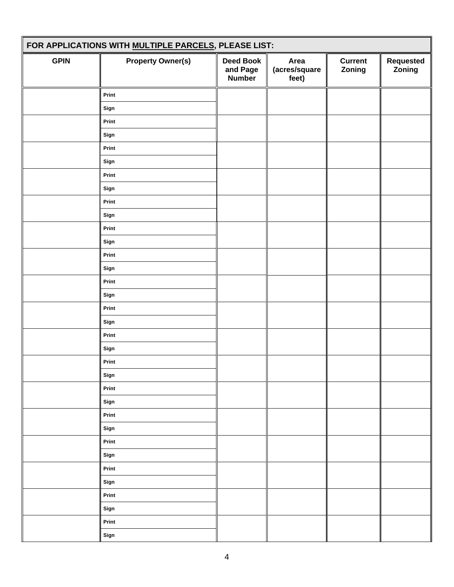| FOR APPLICATIONS WITH MULTIPLE PARCELS, PLEASE LIST: |                          |                                               |                                |                          |                     |
|------------------------------------------------------|--------------------------|-----------------------------------------------|--------------------------------|--------------------------|---------------------|
| <b>GPIN</b>                                          | <b>Property Owner(s)</b> | <b>Deed Book</b><br>and Page<br><b>Number</b> | Area<br>(acres/square<br>feet) | <b>Current</b><br>Zoning | Requested<br>Zoning |
|                                                      | Print                    |                                               |                                |                          |                     |
|                                                      | Sign                     |                                               |                                |                          |                     |
|                                                      | Print                    |                                               |                                |                          |                     |
|                                                      | Sign                     |                                               |                                |                          |                     |
|                                                      | Print                    |                                               |                                |                          |                     |
|                                                      | Sign                     |                                               |                                |                          |                     |
|                                                      | Print                    |                                               |                                |                          |                     |
|                                                      | Sign                     |                                               |                                |                          |                     |
|                                                      | Print                    |                                               |                                |                          |                     |
|                                                      | Sign                     |                                               |                                |                          |                     |
|                                                      | Print                    |                                               |                                |                          |                     |
|                                                      | Sign                     |                                               |                                |                          |                     |
|                                                      | Print                    |                                               |                                |                          |                     |
|                                                      | Sign                     |                                               |                                |                          |                     |
|                                                      | Print                    |                                               |                                |                          |                     |
|                                                      | Sign                     |                                               |                                |                          |                     |
|                                                      | Print                    |                                               |                                |                          |                     |
|                                                      | Sign                     |                                               |                                |                          |                     |
|                                                      | Print                    |                                               |                                |                          |                     |
|                                                      | Sign                     |                                               |                                |                          |                     |
|                                                      | Print                    |                                               |                                |                          |                     |
|                                                      | Sign                     |                                               |                                |                          |                     |
|                                                      | Print                    |                                               |                                |                          |                     |
|                                                      | Sign                     |                                               |                                |                          |                     |
|                                                      | Print                    |                                               |                                |                          |                     |
|                                                      | Sign                     |                                               |                                |                          |                     |
|                                                      | Print                    |                                               |                                |                          |                     |
|                                                      | Sign                     |                                               |                                |                          |                     |
|                                                      | Print                    |                                               |                                |                          |                     |
|                                                      | Sign                     |                                               |                                |                          |                     |
|                                                      | Print                    |                                               |                                |                          |                     |
|                                                      | Sign                     |                                               |                                |                          |                     |
|                                                      | Print                    |                                               |                                |                          |                     |
|                                                      | Sign                     |                                               |                                |                          |                     |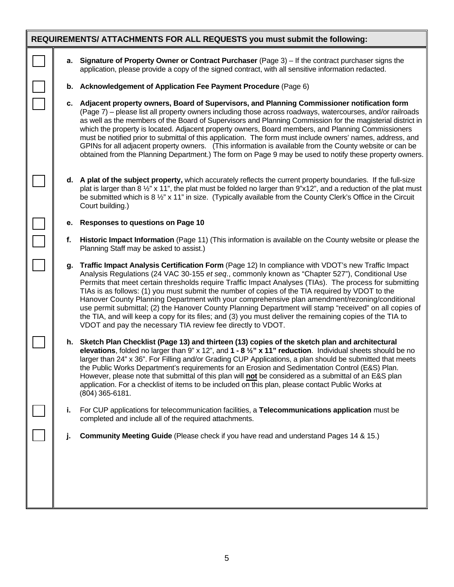|    | REQUIREMENTS/ ATTACHMENTS FOR ALL REQUESTS you must submit the following:                                                                                                                                                                                                                                                                                                                                                                                                                                                                                                                                                                                                                                                                                                                                 |
|----|-----------------------------------------------------------------------------------------------------------------------------------------------------------------------------------------------------------------------------------------------------------------------------------------------------------------------------------------------------------------------------------------------------------------------------------------------------------------------------------------------------------------------------------------------------------------------------------------------------------------------------------------------------------------------------------------------------------------------------------------------------------------------------------------------------------|
| а. | Signature of Property Owner or Contract Purchaser (Page 3) - If the contract purchaser signs the<br>application, please provide a copy of the signed contract, with all sensitive information redacted.                                                                                                                                                                                                                                                                                                                                                                                                                                                                                                                                                                                                   |
| b. | Acknowledgement of Application Fee Payment Procedure (Page 6)                                                                                                                                                                                                                                                                                                                                                                                                                                                                                                                                                                                                                                                                                                                                             |
|    | c. Adjacent property owners, Board of Supervisors, and Planning Commissioner notification form<br>(Page 7) – please list all property owners including those across roadways, watercourses, and/or railroads<br>as well as the members of the Board of Supervisors and Planning Commission for the magisterial district in<br>which the property is located. Adjacent property owners, Board members, and Planning Commissioners<br>must be notified prior to submittal of this application. The form must include owners' names, address, and<br>GPINs for all adjacent property owners. (This information is available from the County website or can be<br>obtained from the Planning Department.) The form on Page 9 may be used to notify these property owners.                                     |
|    | d. A plat of the subject property, which accurately reflects the current property boundaries. If the full-size<br>plat is larger than 8 $\frac{1}{2}$ " x 11", the plat must be folded no larger than 9"x12", and a reduction of the plat must<br>be submitted which is 8 1/2" x 11" in size. (Typically available from the County Clerk's Office in the Circuit<br>Court building.)                                                                                                                                                                                                                                                                                                                                                                                                                      |
| е. | <b>Responses to questions on Page 10</b>                                                                                                                                                                                                                                                                                                                                                                                                                                                                                                                                                                                                                                                                                                                                                                  |
| f. | Historic Impact Information (Page 11) (This information is available on the County website or please the<br>Planning Staff may be asked to assist.)                                                                                                                                                                                                                                                                                                                                                                                                                                                                                                                                                                                                                                                       |
| q. | Traffic Impact Analysis Certification Form (Page 12) In compliance with VDOT's new Traffic Impact<br>Analysis Regulations (24 VAC 30-155 et seq., commonly known as "Chapter 527"), Conditional Use<br>Permits that meet certain thresholds require Traffic Impact Analyses (TIAs). The process for submitting<br>TIAs is as follows: (1) you must submit the number of copies of the TIA required by VDOT to the<br>Hanover County Planning Department with your comprehensive plan amendment/rezoning/conditional<br>use permit submittal; (2) the Hanover County Planning Department will stamp "received" on all copies of<br>the TIA, and will keep a copy for its files; and (3) you must deliver the remaining copies of the TIA to<br>VDOT and pay the necessary TIA review fee directly to VDOT. |
|    | h. Sketch Plan Checklist (Page 13) and thirteen (13) copies of the sketch plan and architectural<br>elevations, folded no larger than 9" x 12", and $1 - 8\frac{1}{2}$ " x 11" reduction. Individual sheets should be no<br>larger than 24" x 36". For Filling and/or Grading CUP Applications, a plan should be submitted that meets<br>the Public Works Department's requirements for an Erosion and Sedimentation Control (E&S) Plan.<br>However, please note that submittal of this plan will not be considered as a submittal of an E&S plan<br>application. For a checklist of items to be included on this plan, please contact Public Works at<br>$(804)$ 365-6181.                                                                                                                               |
| j. | For CUP applications for telecommunication facilities, a Telecommunications application must be<br>completed and include all of the required attachments.                                                                                                                                                                                                                                                                                                                                                                                                                                                                                                                                                                                                                                                 |
| J. | <b>Community Meeting Guide</b> (Please check if you have read and understand Pages 14 & 15.)                                                                                                                                                                                                                                                                                                                                                                                                                                                                                                                                                                                                                                                                                                              |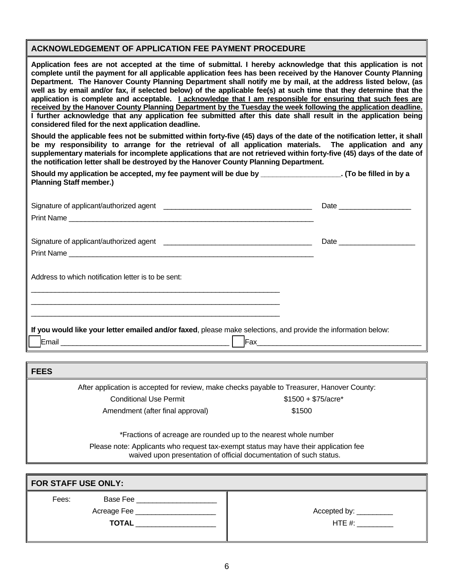# **ACKNOWLEDGEMENT OF APPLICATION FEE PAYMENT PROCEDURE**

**Application fees are not accepted at the time of submittal. I hereby acknowledge that this application is not complete until the payment for all applicable application fees has been received by the Hanover County Planning Department. The Hanover County Planning Department shall notify me by mail, at the address listed below, (as**  well as by email and/or fax, if selected below) of the applicable fee(s) at such time that they determine that the **application is complete and acceptable. I acknowledge that I am responsible for ensuring that such fees are received by the Hanover County Planning Department by the Tuesday the week following the application deadline. I further acknowledge that any application fee submitted after this date shall result in the application being considered filed for the next application deadline.** 

**Should the applicable fees not be submitted within forty-five (45) days of the date of the notification letter, it shall be my responsibility to arrange for the retrieval of all application materials. The application and any supplementary materials for incomplete applications that are not retrieved within forty-five (45) days of the date of the notification letter shall be destroyed by the Hanover County Planning Department.** 

| Should my application be accepted, my fee payment will be due by | . (To be filled in by a |
|------------------------------------------------------------------|-------------------------|
| <b>Planning Staff member.)</b>                                   |                         |

| If you would like your letter emailed and/or faxed, please make selections, and provide the information below: |
|----------------------------------------------------------------------------------------------------------------|
|                                                                                                                |

**FEES** 

After application is accepted for review, make checks payable to Treasurer, Hanover County:

Conditional Use Permit  $$1500 + $75/ \text{acre*}$ 

Amendment (after final approval) 61500

\*Fractions of acreage are rounded up to the nearest whole number

Please note: Applicants who request tax-exempt status may have their application fee waived upon presentation of official documentation of such status.

| FOR STAFF USE ONLY:                                              |                                      |  |
|------------------------------------------------------------------|--------------------------------------|--|
| Base Fee<br>Fees:<br>Acreage Fee _______________<br><b>TOTAL</b> | Accepted by: __________<br>HTE $#$ : |  |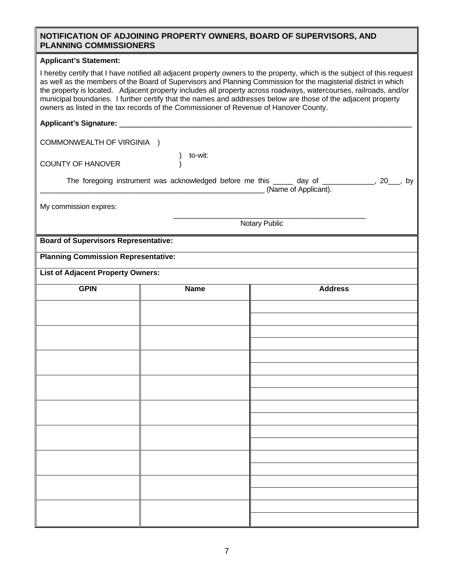#### **NOTIFICATION OF ADJOINING PROPERTY OWNERS, BOARD OF SUPERVISORS, AND PLANNING COMMISSIONERS**

#### **Applicant's Statement:**

I hereby certify that I have notified all adjacent property owners to the property, which is the subject of this request as well as the members of the Board of Supervisors and Planning Commission for the magisterial district in which the property is located. Adjacent property includes all property across roadways, watercourses, railroads, and/or municipal boundaries. I further certify that the names and addresses below are those of the adjacent property owners as listed in the tax records of the Commissioner of Revenue of Hanover County.

#### Applicant's Signature:

COMMONWEALTH OF VIRGINIA )

COUNTY OF HANOVER

to-wit:

| The foregoing instrument was acknowledged before me this | day of               | bv |
|----------------------------------------------------------|----------------------|----|
|                                                          | (Name of Applicant). |    |

My commission expires:

 $\mathcal{L}_\text{max}$  , and the contract of the contract of the contract of the contract of the contract of the contract of the contract of the contract of the contract of the contract of the contract of the contract of the contr Notary Public

**Board of Supervisors Representative:** 

**Planning Commission Representative:** 

**List of Adjacent Property Owners:** 

| <b>GPIN</b> | <b>Name</b> | <b>Address</b> |
|-------------|-------------|----------------|
|             |             |                |
|             |             |                |
|             |             |                |
|             |             |                |
|             |             |                |
|             |             |                |
|             |             |                |
|             |             |                |
|             |             |                |
|             |             |                |
|             |             |                |
|             |             |                |
|             |             |                |
|             |             |                |
|             |             |                |
|             |             |                |
|             |             |                |
|             |             |                |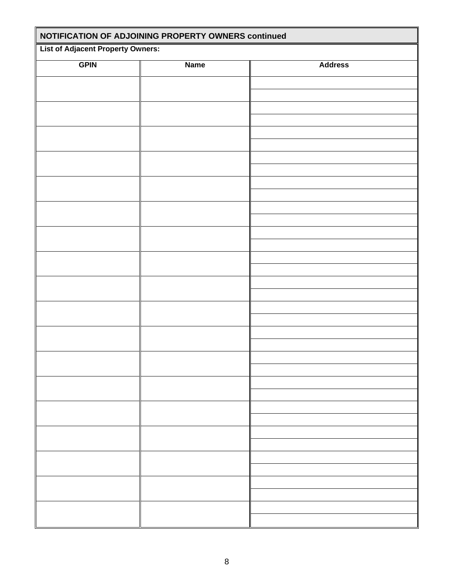| NOTIFICATION OF ADJOINING PROPERTY OWNERS continued |             |                |  |  |
|-----------------------------------------------------|-------------|----------------|--|--|
| <b>List of Adjacent Property Owners:</b>            |             |                |  |  |
| <b>GPIN</b>                                         | <b>Name</b> | <b>Address</b> |  |  |
|                                                     |             |                |  |  |
|                                                     |             |                |  |  |
|                                                     |             |                |  |  |
|                                                     |             |                |  |  |
|                                                     |             |                |  |  |
|                                                     |             |                |  |  |
|                                                     |             |                |  |  |
|                                                     |             |                |  |  |
|                                                     |             |                |  |  |
|                                                     |             |                |  |  |
|                                                     |             |                |  |  |
|                                                     |             |                |  |  |
|                                                     |             |                |  |  |
|                                                     |             |                |  |  |
|                                                     |             |                |  |  |
|                                                     |             |                |  |  |
|                                                     |             |                |  |  |
|                                                     |             |                |  |  |
|                                                     |             |                |  |  |
|                                                     |             |                |  |  |
|                                                     |             |                |  |  |
|                                                     |             |                |  |  |
|                                                     |             |                |  |  |
|                                                     |             |                |  |  |
|                                                     |             |                |  |  |
|                                                     |             |                |  |  |
|                                                     |             |                |  |  |
|                                                     |             |                |  |  |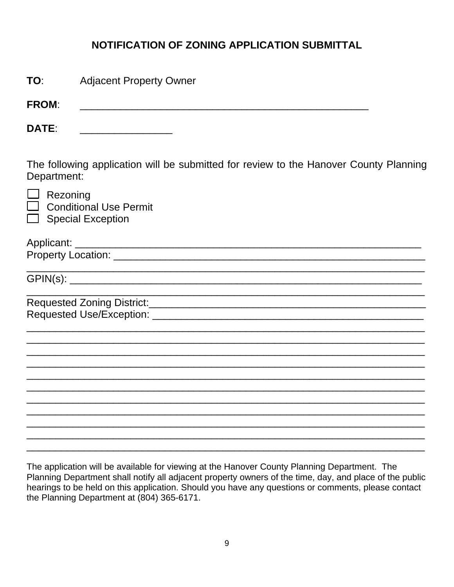# **NOTIFICATION OF ZONING APPLICATION SUBMITTAL**

| TO:          | <b>Adjacent Property Owner</b>                                                                                        |  |  |
|--------------|-----------------------------------------------------------------------------------------------------------------------|--|--|
| <b>FROM:</b> | <u> 1989 - Jan James James Barnett, fransk politik (d. 1989)</u>                                                      |  |  |
| <b>DATE:</b> |                                                                                                                       |  |  |
| Department:  | The following application will be submitted for review to the Hanover County Planning                                 |  |  |
| Rezoning     | <b>Conditional Use Permit</b><br><b>Special Exception</b>                                                             |  |  |
|              |                                                                                                                       |  |  |
|              |                                                                                                                       |  |  |
|              | Requested Zoning District: Manual According to the Contract of Tennis and Tennis and Tennis and Tennis and Tennis and |  |  |
|              |                                                                                                                       |  |  |
|              |                                                                                                                       |  |  |
|              |                                                                                                                       |  |  |

The application will be available for viewing at the Hanover County Planning Department. The Planning Department shall notify all adjacent property owners of the time, day, and place of the public hearings to be held on this application. Should you have any questions or comments, please contact the Planning Department at (804) 365-6171.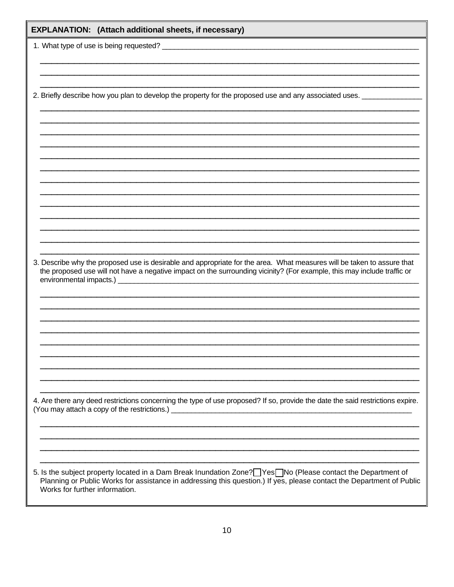| EXPLANATION: (Attach additional sheets, if necessary) |                                                                                                                                                                                                                                                   |
|-------------------------------------------------------|---------------------------------------------------------------------------------------------------------------------------------------------------------------------------------------------------------------------------------------------------|
|                                                       |                                                                                                                                                                                                                                                   |
|                                                       |                                                                                                                                                                                                                                                   |
|                                                       |                                                                                                                                                                                                                                                   |
|                                                       | 2. Briefly describe how you plan to develop the property for the proposed use and any associated uses.                                                                                                                                            |
|                                                       |                                                                                                                                                                                                                                                   |
|                                                       |                                                                                                                                                                                                                                                   |
|                                                       |                                                                                                                                                                                                                                                   |
|                                                       |                                                                                                                                                                                                                                                   |
|                                                       |                                                                                                                                                                                                                                                   |
|                                                       |                                                                                                                                                                                                                                                   |
|                                                       |                                                                                                                                                                                                                                                   |
|                                                       |                                                                                                                                                                                                                                                   |
|                                                       |                                                                                                                                                                                                                                                   |
|                                                       |                                                                                                                                                                                                                                                   |
|                                                       | 3. Describe why the proposed use is desirable and appropriate for the area. What measures will be taken to assure that<br>the proposed use will not have a negative impact on the surrounding vicinity? (For example, this may include traffic or |
|                                                       |                                                                                                                                                                                                                                                   |
|                                                       |                                                                                                                                                                                                                                                   |
|                                                       |                                                                                                                                                                                                                                                   |
|                                                       |                                                                                                                                                                                                                                                   |
|                                                       |                                                                                                                                                                                                                                                   |
|                                                       |                                                                                                                                                                                                                                                   |
|                                                       |                                                                                                                                                                                                                                                   |
|                                                       |                                                                                                                                                                                                                                                   |
|                                                       | 4. Are there any deed restrictions concerning the type of use proposed? If so, provide the date the said restrictions expire.                                                                                                                     |
|                                                       |                                                                                                                                                                                                                                                   |
|                                                       |                                                                                                                                                                                                                                                   |
|                                                       |                                                                                                                                                                                                                                                   |
|                                                       | 5. Is the subject property located in a Dam Break Inundation Zone? Pes No (Please contact the Department of                                                                                                                                       |
| Works for further information.                        | Planning or Public Works for assistance in addressing this question.) If yes, please contact the Department of Public                                                                                                                             |
|                                                       |                                                                                                                                                                                                                                                   |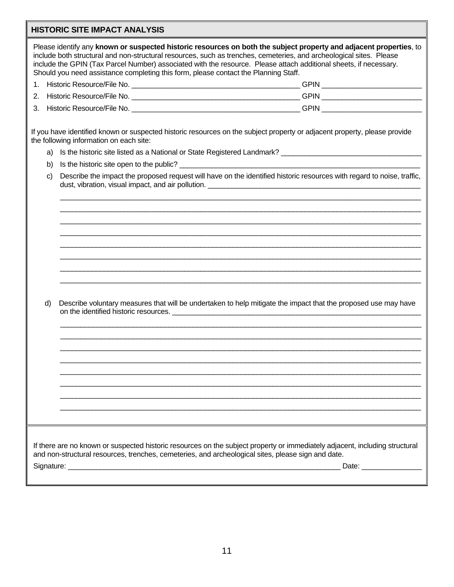# **HISTORIC SITE IMPACT ANALYSIS**

|                                                                                                                                                                                                                                   | Please identify any known or suspected historic resources on both the subject property and adjacent properties, to<br>include both structural and non-structural resources, such as trenches, cemeteries, and archeological sites. Please<br>include the GPIN (Tax Parcel Number) associated with the resource. Please attach additional sheets, if necessary.<br>Should you need assistance completing this form, please contact the Planning Staff. |  |  |  |  |
|-----------------------------------------------------------------------------------------------------------------------------------------------------------------------------------------------------------------------------------|-------------------------------------------------------------------------------------------------------------------------------------------------------------------------------------------------------------------------------------------------------------------------------------------------------------------------------------------------------------------------------------------------------------------------------------------------------|--|--|--|--|
|                                                                                                                                                                                                                                   |                                                                                                                                                                                                                                                                                                                                                                                                                                                       |  |  |  |  |
| 2.                                                                                                                                                                                                                                |                                                                                                                                                                                                                                                                                                                                                                                                                                                       |  |  |  |  |
| 3.                                                                                                                                                                                                                                |                                                                                                                                                                                                                                                                                                                                                                                                                                                       |  |  |  |  |
|                                                                                                                                                                                                                                   |                                                                                                                                                                                                                                                                                                                                                                                                                                                       |  |  |  |  |
|                                                                                                                                                                                                                                   | If you have identified known or suspected historic resources on the subject property or adjacent property, please provide<br>the following information on each site:                                                                                                                                                                                                                                                                                  |  |  |  |  |
| a)                                                                                                                                                                                                                                |                                                                                                                                                                                                                                                                                                                                                                                                                                                       |  |  |  |  |
| b)                                                                                                                                                                                                                                |                                                                                                                                                                                                                                                                                                                                                                                                                                                       |  |  |  |  |
| C)                                                                                                                                                                                                                                | Describe the impact the proposed request will have on the identified historic resources with regard to noise, traffic,<br>dust, vibration, visual impact, and air pollution.                                                                                                                                                                                                                                                                          |  |  |  |  |
|                                                                                                                                                                                                                                   |                                                                                                                                                                                                                                                                                                                                                                                                                                                       |  |  |  |  |
|                                                                                                                                                                                                                                   |                                                                                                                                                                                                                                                                                                                                                                                                                                                       |  |  |  |  |
|                                                                                                                                                                                                                                   |                                                                                                                                                                                                                                                                                                                                                                                                                                                       |  |  |  |  |
|                                                                                                                                                                                                                                   |                                                                                                                                                                                                                                                                                                                                                                                                                                                       |  |  |  |  |
|                                                                                                                                                                                                                                   |                                                                                                                                                                                                                                                                                                                                                                                                                                                       |  |  |  |  |
|                                                                                                                                                                                                                                   |                                                                                                                                                                                                                                                                                                                                                                                                                                                       |  |  |  |  |
|                                                                                                                                                                                                                                   |                                                                                                                                                                                                                                                                                                                                                                                                                                                       |  |  |  |  |
|                                                                                                                                                                                                                                   |                                                                                                                                                                                                                                                                                                                                                                                                                                                       |  |  |  |  |
|                                                                                                                                                                                                                                   |                                                                                                                                                                                                                                                                                                                                                                                                                                                       |  |  |  |  |
|                                                                                                                                                                                                                                   |                                                                                                                                                                                                                                                                                                                                                                                                                                                       |  |  |  |  |
| d)                                                                                                                                                                                                                                | Describe voluntary measures that will be undertaken to help mitigate the impact that the proposed use may have                                                                                                                                                                                                                                                                                                                                        |  |  |  |  |
|                                                                                                                                                                                                                                   | on the identified historic resources. <u>The annual property of the set of the set of the set of the set of the set of the set of the set of the set of the set of the set of the set of the set of the set of the set of the se</u>                                                                                                                                                                                                                  |  |  |  |  |
|                                                                                                                                                                                                                                   |                                                                                                                                                                                                                                                                                                                                                                                                                                                       |  |  |  |  |
|                                                                                                                                                                                                                                   |                                                                                                                                                                                                                                                                                                                                                                                                                                                       |  |  |  |  |
|                                                                                                                                                                                                                                   |                                                                                                                                                                                                                                                                                                                                                                                                                                                       |  |  |  |  |
|                                                                                                                                                                                                                                   |                                                                                                                                                                                                                                                                                                                                                                                                                                                       |  |  |  |  |
|                                                                                                                                                                                                                                   |                                                                                                                                                                                                                                                                                                                                                                                                                                                       |  |  |  |  |
|                                                                                                                                                                                                                                   |                                                                                                                                                                                                                                                                                                                                                                                                                                                       |  |  |  |  |
|                                                                                                                                                                                                                                   |                                                                                                                                                                                                                                                                                                                                                                                                                                                       |  |  |  |  |
|                                                                                                                                                                                                                                   |                                                                                                                                                                                                                                                                                                                                                                                                                                                       |  |  |  |  |
|                                                                                                                                                                                                                                   |                                                                                                                                                                                                                                                                                                                                                                                                                                                       |  |  |  |  |
|                                                                                                                                                                                                                                   |                                                                                                                                                                                                                                                                                                                                                                                                                                                       |  |  |  |  |
| If there are no known or suspected historic resources on the subject property or immediately adjacent, including structural<br>and non-structural resources, trenches, cemeteries, and archeological sites, please sign and date. |                                                                                                                                                                                                                                                                                                                                                                                                                                                       |  |  |  |  |
|                                                                                                                                                                                                                                   |                                                                                                                                                                                                                                                                                                                                                                                                                                                       |  |  |  |  |
|                                                                                                                                                                                                                                   |                                                                                                                                                                                                                                                                                                                                                                                                                                                       |  |  |  |  |
|                                                                                                                                                                                                                                   |                                                                                                                                                                                                                                                                                                                                                                                                                                                       |  |  |  |  |
|                                                                                                                                                                                                                                   |                                                                                                                                                                                                                                                                                                                                                                                                                                                       |  |  |  |  |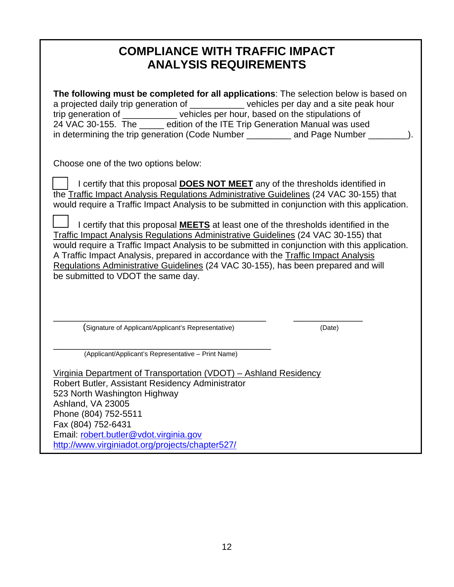# **COMPLIANCE WITH TRAFFIC IMPACT ANALYSIS REQUIREMENTS**

**The following must be completed for all applications**: The selection below is based on a projected daily trip generation of example in vehicles per day and a site peak hour trip generation of \_\_\_\_\_\_\_\_\_\_\_\_ vehicles per hour, based on the stipulations of 24 VAC 30-155. The edition of the ITE Trip Generation Manual was used in determining the trip generation (Code Number \_\_\_\_\_\_\_\_\_ and Page Number \_\_\_\_\_

Choose one of the two options below:

 I certify that this proposal **DOES NOT MEET** any of the thresholds identified in the Traffic Impact Analysis Regulations Administrative Guidelines (24 VAC 30-155) that would require a Traffic Impact Analysis to be submitted in conjunction with this application.

 I certify that this proposal **MEETS** at least one of the thresholds identified in the Traffic Impact Analysis Regulations Administrative Guidelines (24 VAC 30-155) that would require a Traffic Impact Analysis to be submitted in conjunction with this application. A Traffic Impact Analysis, prepared in accordance with the Traffic Impact Analysis Regulations Administrative Guidelines (24 VAC 30-155), has been prepared and will be submitted to VDOT the same day.

\_\_\_\_\_\_\_\_\_\_\_\_\_\_\_\_\_\_\_\_\_\_\_\_\_\_\_\_\_\_\_\_\_\_\_\_\_\_\_\_\_\_\_ \_\_\_\_\_\_\_\_\_\_\_\_\_\_

(Signature of Applicant/Applicant's Representative) (Date)

\_\_\_\_\_\_\_\_\_\_\_\_\_\_\_\_\_\_\_\_\_\_\_\_\_\_\_\_\_\_\_\_\_\_\_\_\_\_\_\_\_\_\_\_ (Applicant/Applicant's Representative – Print Name)

Virginia Department of Transportation (VDOT) – Ashland Residency Robert Butler, Assistant Residency Administrator 523 North Washington Highway Ashland, VA 23005 Phone (804) 752-5511 Fax (804) 752-6431 Email: robert.butler@vdot.virginia.gov http://www.virginiadot.org/projects/chapter527/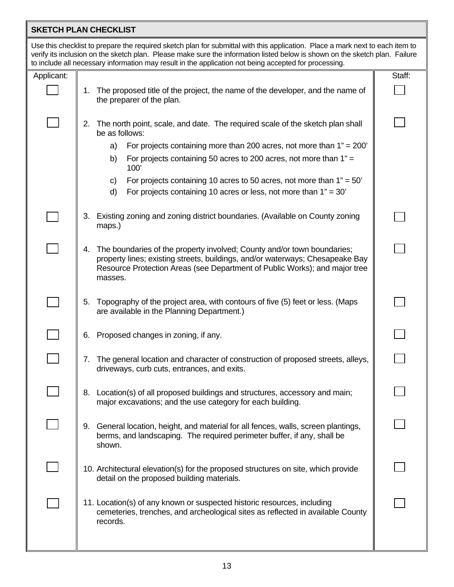## **SKETCH PLAN CHECKLIST**

Use this checklist to prepare the required sketch plan for submittal with this application. Place a mark next to each item to verify its inclusion on the sketch plan. Please make sure the information listed below is shown on the sketch plan. Failure to include all necessary information may result in the application not being accepted for processing.

|                | to include all necessary information may result in the application not being accepted for processing.                                                                                                                                                   |        |
|----------------|---------------------------------------------------------------------------------------------------------------------------------------------------------------------------------------------------------------------------------------------------------|--------|
| Applicant:     |                                                                                                                                                                                                                                                         | Staff: |
|                | The proposed title of the project, the name of the developer, and the name of<br>1.<br>the preparer of the plan.                                                                                                                                        |        |
|                | The north point, scale, and date. The required scale of the sketch plan shall<br>2.<br>be as follows:                                                                                                                                                   |        |
|                | For projects containing more than 200 acres, not more than $1" = 200'$<br>a)                                                                                                                                                                            |        |
|                | For projects containing 50 acres to 200 acres, not more than 1" =<br>b)<br>100'                                                                                                                                                                         |        |
|                | For projects containing 10 acres to 50 acres, not more than $1" = 50'$<br>C)                                                                                                                                                                            |        |
|                | d)<br>For projects containing 10 acres or less, not more than $1" = 30'$                                                                                                                                                                                |        |
|                | Existing zoning and zoning district boundaries. (Available on County zoning<br>3.<br>maps.)                                                                                                                                                             |        |
|                | The boundaries of the property involved; County and/or town boundaries;<br>4.<br>property lines; existing streets, buildings, and/or waterways; Chesapeake Bay<br>Resource Protection Areas (see Department of Public Works); and major tree<br>masses. |        |
|                | 5. Topography of the project area, with contours of five (5) feet or less. (Maps<br>are available in the Planning Department.)                                                                                                                          |        |
| $\mathbb{R}^n$ | Proposed changes in zoning, if any.<br>6.                                                                                                                                                                                                               |        |
|                | The general location and character of construction of proposed streets, alleys,<br>7.<br>driveways, curb cuts, entrances, and exits.                                                                                                                    |        |
|                | Location(s) of all proposed buildings and structures, accessory and main;<br>8.<br>major excavations; and the use category for each building.                                                                                                           |        |
|                | 9. General location, height, and material for all fences, walls, screen plantings,<br>berms, and landscaping. The required perimeter buffer, if any, shall be<br>shown.                                                                                 |        |
|                | 10. Architectural elevation(s) for the proposed structures on site, which provide<br>detail on the proposed building materials.                                                                                                                         |        |
|                | 11. Location(s) of any known or suspected historic resources, including<br>cemeteries, trenches, and archeological sites as reflected in available County<br>records.                                                                                   |        |
|                |                                                                                                                                                                                                                                                         |        |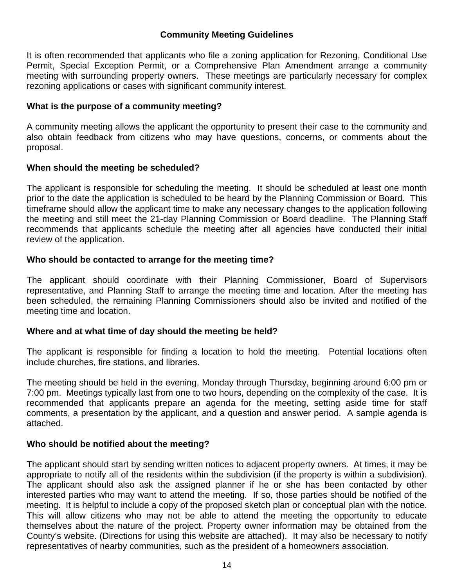# **Community Meeting Guidelines**

It is often recommended that applicants who file a zoning application for Rezoning, Conditional Use Permit, Special Exception Permit, or a Comprehensive Plan Amendment arrange a community meeting with surrounding property owners. These meetings are particularly necessary for complex rezoning applications or cases with significant community interest.

# **What is the purpose of a community meeting?**

A community meeting allows the applicant the opportunity to present their case to the community and also obtain feedback from citizens who may have questions, concerns, or comments about the proposal.

# **When should the meeting be scheduled?**

The applicant is responsible for scheduling the meeting. It should be scheduled at least one month prior to the date the application is scheduled to be heard by the Planning Commission or Board. This timeframe should allow the applicant time to make any necessary changes to the application following the meeting and still meet the 21-day Planning Commission or Board deadline. The Planning Staff recommends that applicants schedule the meeting after all agencies have conducted their initial review of the application.

# **Who should be contacted to arrange for the meeting time?**

The applicant should coordinate with their Planning Commissioner, Board of Supervisors representative, and Planning Staff to arrange the meeting time and location. After the meeting has been scheduled, the remaining Planning Commissioners should also be invited and notified of the meeting time and location.

# **Where and at what time of day should the meeting be held?**

The applicant is responsible for finding a location to hold the meeting. Potential locations often include churches, fire stations, and libraries.

The meeting should be held in the evening, Monday through Thursday, beginning around 6:00 pm or 7:00 pm. Meetings typically last from one to two hours, depending on the complexity of the case. It is recommended that applicants prepare an agenda for the meeting, setting aside time for staff comments, a presentation by the applicant, and a question and answer period. A sample agenda is attached.

# **Who should be notified about the meeting?**

The applicant should start by sending written notices to adjacent property owners. At times, it may be appropriate to notify all of the residents within the subdivision (if the property is within a subdivision). The applicant should also ask the assigned planner if he or she has been contacted by other interested parties who may want to attend the meeting. If so, those parties should be notified of the meeting. It is helpful to include a copy of the proposed sketch plan or conceptual plan with the notice. This will allow citizens who may not be able to attend the meeting the opportunity to educate themselves about the nature of the project. Property owner information may be obtained from the County's website. (Directions for using this website are attached). It may also be necessary to notify representatives of nearby communities, such as the president of a homeowners association.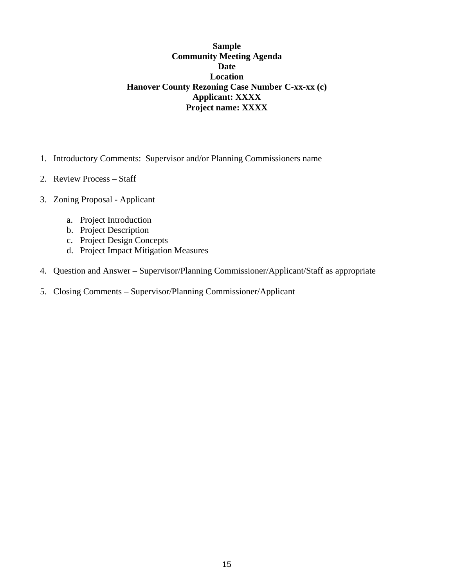# **Sample Community Meeting Agenda Date Location Hanover County Rezoning Case Number C-xx-xx (c) Applicant: XXXX Project name: XXXX**

- 1. Introductory Comments: Supervisor and/or Planning Commissioners name
- 2. Review Process Staff
- 3. Zoning Proposal Applicant
	- a. Project Introduction
	- b. Project Description
	- c. Project Design Concepts
	- d. Project Impact Mitigation Measures
- 4. Question and Answer Supervisor/Planning Commissioner/Applicant/Staff as appropriate
- 5. Closing Comments Supervisor/Planning Commissioner/Applicant